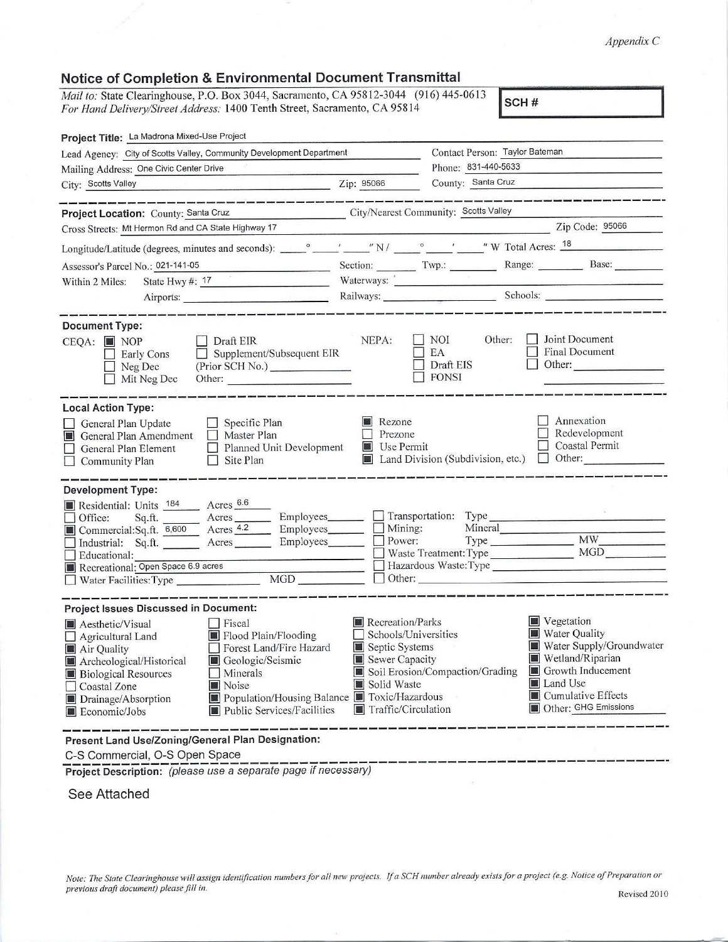### *Appendix C*

## **Notice of Completion & Environmental Document Transmittal**

*Mail to:* State Clearinghouse, P.O. Box 3044, Sacramento, CA 95812-3044 (916) 445-0613 SCH # *For Hand Delivery/Street Address: 1400 Tenth Street, Sacramento, CA 95814* 

| Lead Agency: City of Scotts Valley, Community Development Department                                                                                                                                                                                                                                                 | Contact Person: Taylor Bateman                                               |                                                                 |                                                                                                                                                                                                                                      |
|----------------------------------------------------------------------------------------------------------------------------------------------------------------------------------------------------------------------------------------------------------------------------------------------------------------------|------------------------------------------------------------------------------|-----------------------------------------------------------------|--------------------------------------------------------------------------------------------------------------------------------------------------------------------------------------------------------------------------------------|
| Mailing Address: One Civic Center Drive                                                                                                                                                                                                                                                                              |                                                                              | Phone: 831-440-5633<br>County: Santa Cruz                       |                                                                                                                                                                                                                                      |
| <u>2ip: 95066</u><br>City: Scotts Valley                                                                                                                                                                                                                                                                             |                                                                              |                                                                 |                                                                                                                                                                                                                                      |
| .<br>And was not the part for the same was the contract that the same was the three than the contract the same than<br>City/Nearest Community: Scotts Valley<br>Project Location: County: Santa Cruz                                                                                                                 |                                                                              |                                                                 |                                                                                                                                                                                                                                      |
| Cross Streets: Mt Hermon Rd and CA State Highway 17                                                                                                                                                                                                                                                                  |                                                                              |                                                                 | Zip Code: 95066                                                                                                                                                                                                                      |
|                                                                                                                                                                                                                                                                                                                      |                                                                              |                                                                 |                                                                                                                                                                                                                                      |
| Assessor's Parcel No.: 021-141-05 Section: Contact Twp.: Range: Base: Base: Base:                                                                                                                                                                                                                                    |                                                                              |                                                                 |                                                                                                                                                                                                                                      |
| State Hwy $\#$ : 17<br>Within 2 Miles:                                                                                                                                                                                                                                                                               |                                                                              |                                                                 | Waterways: <u>" with the contract of the contract of the contract of the contract of the contract of the contract of the contract of the contract of the contract of the contract of the contract of the contract of the contrac</u> |
| Airports:                                                                                                                                                                                                                                                                                                            |                                                                              |                                                                 |                                                                                                                                                                                                                                      |
| <u> 1980 - 1990 - 1990 - 1990 - 1990 - 1990 - 1990 - 1990 - 1990 - 1990 - 1990 - 1990 - 1990 - 1990 - 1990 - 199</u><br><b>Document Type:</b>                                                                                                                                                                        |                                                                              |                                                                 |                                                                                                                                                                                                                                      |
| $\Box$ Draft EIR<br>$CEQA:$ MOP<br>$\Box$ Supplement/Subsequent EIR<br><b>Early Cons</b><br>(Prior SCH No.)<br>$\Box$ Neg Dec<br>$\Box$ Mit Neg Dec<br>Other:                                                                                                                                                        | NEPA:                                                                        | $\blacksquare$ NOI<br>Other:<br>EA<br>Draft EIS<br>$\Box$ FONSI | Joint Document<br><b>Final Document</b><br>Other:                                                                                                                                                                                    |
| <b>Local Action Type:</b><br>$\Box$ Specific Plan<br>General Plan Update<br>General Plan Amendment<br>$\Box$ Master Plan<br>$\Box$ Planned Unit Development<br>General Plan Element<br>Site Plan<br>Community Plan<br>$\perp$                                                                                        | Rezone<br>Prezone<br><b>Use Permit</b>                                       |                                                                 | Annexation<br>Redevelopment<br><b>Coastal Permit</b><br>Land Division (Subdivision, etc.) Other:                                                                                                                                     |
| <b>Development Type:</b>                                                                                                                                                                                                                                                                                             |                                                                              |                                                                 |                                                                                                                                                                                                                                      |
| Residential: Units 184 Acres 6.6<br>Office: Sq.ft. Acres Acres Employees<br>Commercial:Sq.ft. $\frac{6,600}{6,600}$ Acres $\frac{4.2}{6}$<br>_ Employees_____<br>Industrial: Sq.ft. ________ Acres _________ Employees_______<br>Educational:<br>Recreational: Open Space 6.9 acres<br>MGD<br>Water Facilities: Type |                                                                              | Transportation: Type<br>Mining: Mineral<br>Power: Type          | Hazardous Waste: Type<br>$\Box$ Other:                                                                                                                                                                                               |
| <b>Project Issues Discussed in Document:</b>                                                                                                                                                                                                                                                                         |                                                                              |                                                                 |                                                                                                                                                                                                                                      |
| $\Box$ Fiscal<br>Aesthetic/Visual<br>Flood Plain/Flooding<br>Agricultural Land<br>Forest Land/Fire Hazard<br>$\blacksquare$ Air Quality<br>Geologic/Seismic<br>Archeological/Historical                                                                                                                              | Recreation/Parks<br>Schools/Universities<br>Septic Systems<br>Sewer Capacity | Soil Erosion/Compaction/Grading                                 | $\blacksquare$ Vegetation<br>Water Quality<br>Water Supply/Groundwater<br>Wetland/Riparian<br>Growth Inducement<br><b>Land Use</b>                                                                                                   |

C-S Commercial, 0-S Open Space ------------ ------- -------------------- ---- **Project Description:** (please use a separate page if necessary)

#### See Attached

*Note: The State Clearinghouse will assign identificarion numbers for all new projects.* If *a SCH number already exists/or a project (e.g. Notice of Preparation or previous draft document) please fill in.* <br>Revised 2010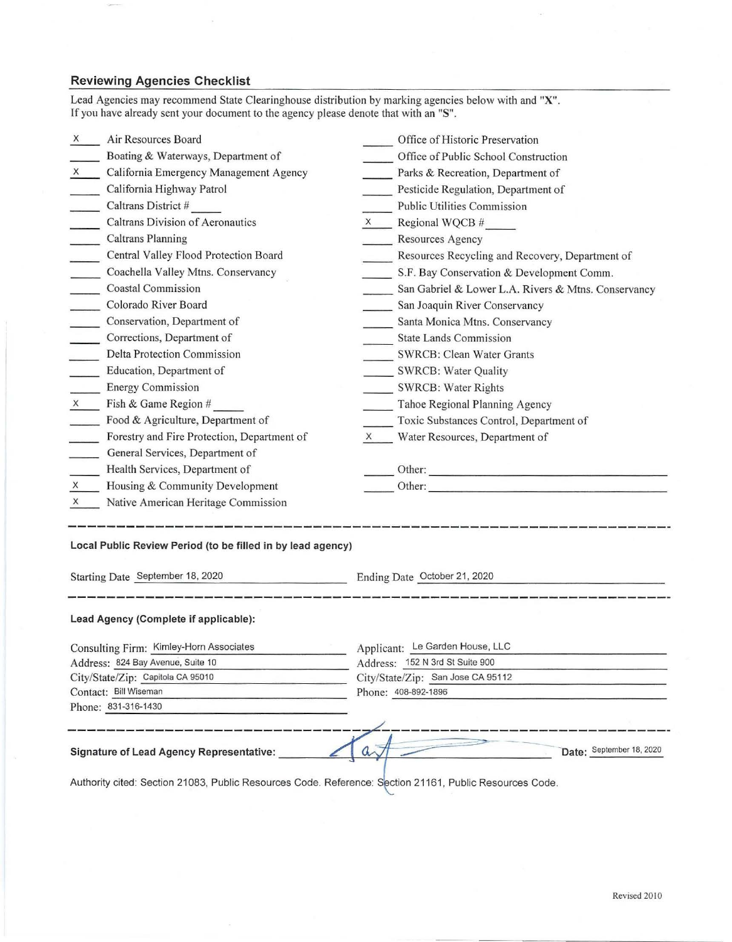## **Reviewing Agencies Checklist**

 $\pm$ 

-100

|                                              | If you have already sent your document to the agency please denote that with an "S".                    |   |                                                     |  |  |
|----------------------------------------------|---------------------------------------------------------------------------------------------------------|---|-----------------------------------------------------|--|--|
| X                                            | Air Resources Board                                                                                     |   | Office of Historic Preservation                     |  |  |
|                                              | Boating & Waterways, Department of                                                                      |   | Office of Public School Construction                |  |  |
| X                                            | California Emergency Management Agency                                                                  |   | Parks & Recreation, Department of                   |  |  |
|                                              | California Highway Patrol                                                                               |   | Pesticide Regulation, Department of                 |  |  |
|                                              | Caltrans District #                                                                                     |   | Public Utilities Commission                         |  |  |
|                                              | Caltrans Division of Aeronautics                                                                        | X | Regional WQCB #                                     |  |  |
|                                              | <b>Caltrans Planning</b>                                                                                |   | Resources Agency                                    |  |  |
|                                              | Central Valley Flood Protection Board                                                                   |   | Resources Recycling and Recovery, Department of     |  |  |
|                                              | Coachella Valley Mtns. Conservancy                                                                      |   | S.F. Bay Conservation & Development Comm.           |  |  |
| $\sim$                                       | <b>Coastal Commission</b>                                                                               |   | San Gabriel & Lower L.A. Rivers & Mtns. Conservancy |  |  |
| $\sim$                                       | Colorado River Board                                                                                    |   | San Joaquin River Conservancy                       |  |  |
|                                              | Conservation, Department of                                                                             |   | Santa Monica Mtns. Conservancy                      |  |  |
|                                              | Corrections, Department of                                                                              |   | <b>State Lands Commission</b>                       |  |  |
|                                              | <b>Delta Protection Commission</b>                                                                      |   | <b>SWRCB: Clean Water Grants</b>                    |  |  |
|                                              | Education, Department of                                                                                |   | <b>SWRCB: Water Quality</b>                         |  |  |
|                                              | <b>Energy Commission</b>                                                                                |   | <b>SWRCB: Water Rights</b>                          |  |  |
| X                                            | Fish & Game Region #                                                                                    |   | Tahoe Regional Planning Agency                      |  |  |
|                                              | Food & Agriculture, Department of                                                                       |   | Toxic Substances Control, Department of             |  |  |
|                                              | Forestry and Fire Protection, Department of                                                             | X | Water Resources, Department of                      |  |  |
|                                              | General Services, Department of                                                                         |   |                                                     |  |  |
|                                              | Health Services, Department of                                                                          |   |                                                     |  |  |
| $\times$                                     | Housing & Community Development                                                                         |   | Other:                                              |  |  |
| X                                            | Native American Heritage Commission                                                                     |   |                                                     |  |  |
|                                              | Local Public Review Period (to be filled in by lead agency)<br>Starting Date September 18, 2020         |   | Ending Date October 21, 2020                        |  |  |
|                                              | Lead Agency (Complete if applicable):                                                                   |   |                                                     |  |  |
| Consulting Firm: Kimley-Horn Associates      |                                                                                                         |   | Applicant: Le Garden House, LLC                     |  |  |
| Address: 824 Bay Avenue, Suite 10            |                                                                                                         |   | Address: 152 N 3rd St Suite 900                     |  |  |
| City/State/Zip: Capitola CA 95010            |                                                                                                         |   | City/State/Zip: San Jose CA 95112                   |  |  |
| Contact: Bill Wiseman<br>Phone: 831-316-1430 |                                                                                                         |   | Phone: 408-892-1896                                 |  |  |
|                                              |                                                                                                         |   |                                                     |  |  |
|                                              | Signature of Lead Agency Representative:                                                                |   | Date: September 18, 2020                            |  |  |
|                                              | Authority cited: Section 21083, Public Resources Code. Reference: Section 21161, Public Resources Code. |   |                                                     |  |  |

Lead Agencies may recommend State Clearinghouse distribution by marking agencies below with and **"X".** 

 $\ddot{\phantom{0}}$